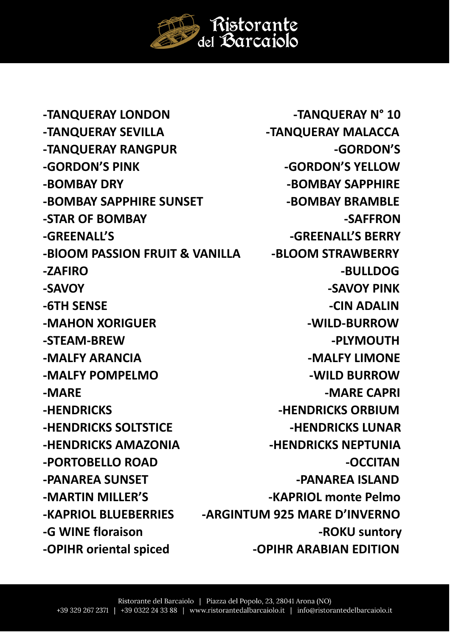-TANQUERAY LONDON -TANQUERAY SEVILLA -TANQUERAY RANGPUR -GORDON'S PINK -BOMBAY DRY -BOMBAY SAPPHIRE SUNSET -STAR OF BOMBAY -GRFFNALL'S -BIOOM PASSION FRUIT & VANILLA  $-7$  $\triangle$ FIRO -SAVOY **-6TH SENSE** -MAHON XORIGUER -STEAM-BREW -MALFY ARANCIA -MALFY POMPELMO -MARE -HENDRICKS **-HENDRICKS SOLTSTICE** 

**-HENDRICKS AMAZONIA** -PORTOBELLO ROAD -PANAREA SUNSET -MARTIN MILLER'S **-KAPRIOL BLUEBERRIES** -G WINE floraison

-OPIHR oriental spiced

-TANQUERAY N° 10 -TANQUERAY MALACCA -GORDON'S -GORDON'S YELLOW **-BOMBAY SAPPHIRE** -BOMBAY BRAMBLE -SAFFRON -GREENALL'S BERRY -BLOOM STRAWBERRY -BULLDOG -SAVOY PINK -CIN ADALIN -WILD-BURROW -PLYMOUTH -MALFY LIMONE -WILD BURROW -MARE CAPRI **-HENDRICKS ORBIUM -HENDRICKS LUNAR -HENDRICKS NEPTUNIA** -OCCITAN -PANAREA ISLAND -KAPRIOL monte Pelmo -ARGINTUM 925 MARE D'INVERNO -ROKU suntory

**-OPIHR ARABIAN EDITION** 

Ristorante<br>del Barcaiolo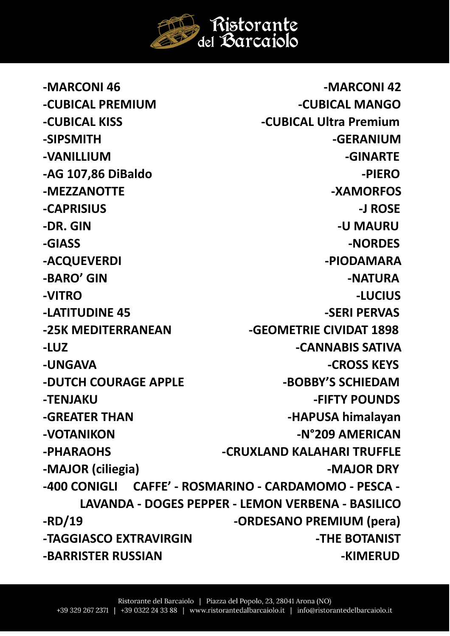

-MARCONI 46 **-MARCONI 42 -CUBICAL PREMIUM -CUBICAL MANGO -CUBICAL KISS -CUBICAL Ultra Premium -SIPSMITH -GERANIUM -VANILLIUM -GINARTE -AG 107,86 DiBaldo -PIERO -MEZZANOTTE -XAMORFOS -CAPRISIUS -J ROSE -DR. GIN -U MAURU -GIASS -NORDES**  -ACQUEVERDI - ACQUEVERDI - PIODAMARA -BARO' GIN **-**NATURA **-VITRO -LUCIUS** -LATITUDINE 45 **-SERI PERVAS -25K MEDITERRANEAN -GEOMETRIE CIVIDAT 1898 -LUZ -CANNABIS SATIVA -UNGAVA -CROSS KEYS** -DUTCH COURAGE APPLE **ACCULUMENT ASSAULT AND ACCULUMENT** ABOBBY'S SCHIEDAM **-TENJAKU -FIFTY POUNDS -GREATER THAN FILL CONSUMING A LIGREATER THAN A LIGREATER THAN** -VOTANIKON - N°209 AMERICAN **-PHARAOHS -CRUXLAND KALAHARI TRUFFLE -MAJOR (ciliegia) -MAJOR DRY -400 CONIGLI CAFFE' - ROSMARINO - CARDAMOMO - PESCA - LAVANDA - DOGES PEPPER - LEMON VERBENA - BASILICO -RD/19 -ORDESANO PREMIUM (pera) -TAGGIASCO EXTRAVIRGIN -THE BOTANIST -BARRISTER RUSSIAN -KIMERUD**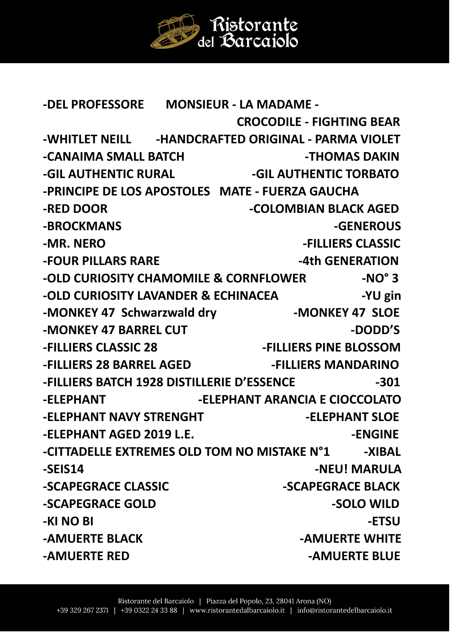Ristorante del Barcajolo

**-DEL PROFESSORE MONSIEUR - LA MADAME - CROCODILE - FIGHTING BEAR -WHITLET NEILL -HANDCRAFTED ORIGINAL - PARMA VIOLET -CANAIMA SMALL BATCH FRAME SCANAIMAS DAKIN** -GIL AUTHENTIC RURAL **AUTHENTIC TORBATO -PRINCIPE DE LOS APOSTOLES MATE - FUERZA GAUCHA -RED DOOR COLOMBIAN BLACK AGED -BROCKMANS -GENEROUS -MR. NERO -FILLIERS CLASSIC -FOUR PILLARS RARE 4th GENERATION -OLD CURIOSITY CHAMOMILE & CORNFLOWER -NO° 3 -OLD CURIOSITY LAVANDER & ECHINACEA** -YU gin **-MONKEY 47 Schwarzwald dry -MONKEY 47 SLOE**  -MONKEY 47 BARREL CUT **A CONTACT A CONTACT A CONTACT A CONTACT A CONTACT A CONTACT A CONTACT A CONTACT A CONTACT A -FILLIERS CLASSIC 28 -FILLIERS PINE BLOSSOM -FILLIERS 28 BARREL AGED -FILLIERS MANDARINO -FILLIERS BATCH 1928 DISTILLERIE D'ESSENCE -301 -ELEPHANT -ELEPHANT ARANCIA E CIOCCOLATO**  -ELEPHANT NAVY STRENGHT FREEPHANT SLOE **-ELEPHANT AGED 2019 L.E.** The contract of the set of the set of the set of the set of the set of the set of the set of the set of the set of the set of the set of the set of the set of the set of the set of the set of the -CITTADELLE EXTREMES OLD TOM NO MISTAKE N°1 -XIBAL -SEIS14 - NEU! MARULA **-SCAPEGRACE CLASSIC -SCAPEGRACE BLACK -SCAPEGRACE GOLD -SOLO WILD -KI NO BI** -ETSU **-AMUERTE BLACK CONTROLLERTE WHITE -AMUERTE RED -AMUERTE BLUE**